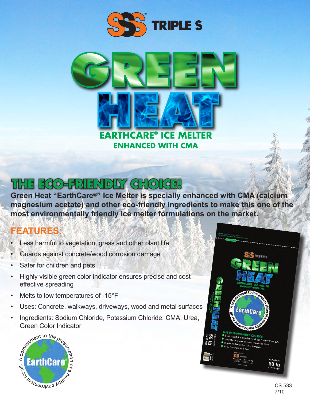



## HE ECO-FRIENDLY CHOICE

**Green Heat "EarthCare®" Ice Melter is specially enhanced with CMA (calcium magnesium acetate) and other eco-friendly ingredients to make this one of the most environmentally friendly ice melter formulations on the market.**

## **FEATURES:**

- Less harmful to vegetation, grass and other plant life
- Guards against concrete/wood corrosion damage
- Safer for children and pets
- Highly visible green color indicator ensures precise and cost effective spreading
- Melts to low temperatures of  $-15^{\circ}F$
- Uses: Concrete, walkways, driveways, wood and metal surfaces
- Green Color Indicator